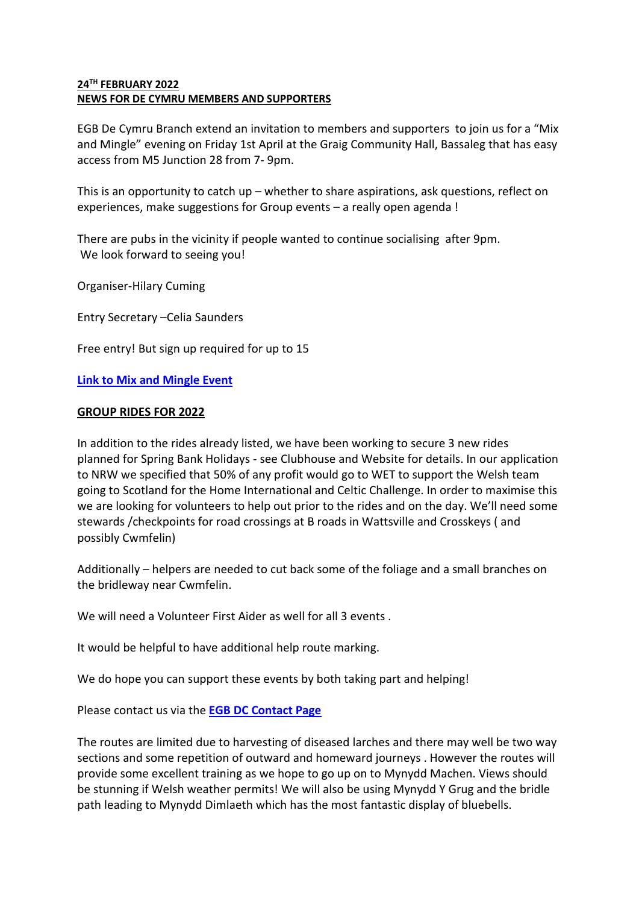## **24TH FEBRUARY 2022 NEWS FOR DE CYMRU MEMBERS AND SUPPORTERS**

EGB De Cymru Branch extend an invitation to members and supporters to join us for a "Mix and Mingle" evening on Friday 1st April at the Graig Community Hall, Bassaleg that has easy access from M5 Junction 28 from 7- 9pm.

This is an opportunity to catch up – whether to share aspirations, ask questions, reflect on experiences, make suggestions for Group events – a really open agenda !

There are pubs in the vicinity if people wanted to continue socialising after 9pm. We look forward to seeing you!

Organiser-Hilary Cuming

Entry Secretary –Celia Saunders

Free entry! But sign up required for up to 15

# **[Link to Mix and Mingle Event](https://egb.myclubhouse.co.uk/Events/Calendar/View?id=777)**

### **GROUP RIDES FOR 2022**

In addition to the rides already listed, we have been working to secure 3 new rides planned for Spring Bank Holidays - see Clubhouse and Website for details. In our application to NRW we specified that 50% of any profit would go to WET to support the Welsh team going to Scotland for the Home International and Celtic Challenge. In order to maximise this we are looking for volunteers to help out prior to the rides and on the day. We'll need some stewards /checkpoints for road crossings at B roads in Wattsville and Crosskeys ( and possibly Cwmfelin)

Additionally – helpers are needed to cut back some of the foliage and a small branches on the bridleway near Cwmfelin.

We will need a Volunteer First Aider as well for all 3 events .

It would be helpful to have additional help route marking.

We do hope you can support these events by both taking part and helping!

Please contact us via the **[EGB DC Contact Page](http://www.egbdecymru.co.uk/contact-us.php)**

The routes are limited due to harvesting of diseased larches and there may well be two way sections and some repetition of outward and homeward journeys . However the routes will provide some excellent training as we hope to go up on to Mynydd Machen. Views should be stunning if Welsh weather permits! We will also be using Mynydd Y Grug and the bridle path leading to Mynydd Dimlaeth which has the most fantastic display of bluebells.